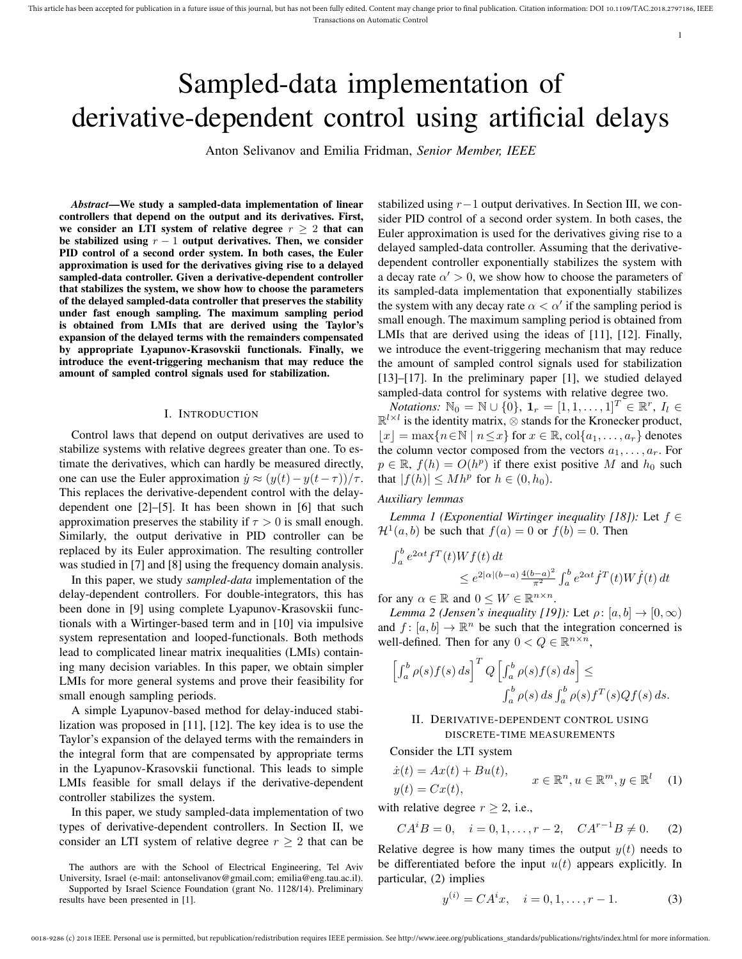# Sampled-data implementation of derivative-dependent control using artificial delays

Anton Selivanov and Emilia Fridman, *Senior Member, IEEE*

*Abstract*—We study a sampled-data implementation of linear controllers that depend on the output and its derivatives. First, we consider an LTI system of relative degree  $r \geq 2$  that can be stabilized using  $r - 1$  output derivatives. Then, we consider PID control of a second order system. In both cases, the Euler approximation is used for the derivatives giving rise to a delayed sampled-data controller. Given a derivative-dependent controller that stabilizes the system, we show how to choose the parameters of the delayed sampled-data controller that preserves the stability under fast enough sampling. The maximum sampling period is obtained from LMIs that are derived using the Taylor's expansion of the delayed terms with the remainders compensated by appropriate Lyapunov-Krasovskii functionals. Finally, we introduce the event-triggering mechanism that may reduce the amount of sampled control signals used for stabilization.

#### I. INTRODUCTION

Control laws that depend on output derivatives are used to stabilize systems with relative degrees greater than one. To estimate the derivatives, which can hardly be measured directly, one can use the Euler approximation  $\dot{y} \approx (y(t) - y(t-\tau))/\tau$ . This replaces the derivative-dependent control with the delaydependent one [2]–[5]. It has been shown in [6] that such approximation preserves the stability if  $\tau > 0$  is small enough. Similarly, the output derivative in PID controller can be replaced by its Euler approximation. The resulting controller was studied in [7] and [8] using the frequency domain analysis.

In this paper, we study *sampled-data* implementation of the delay-dependent controllers. For double-integrators, this has been done in [9] using complete Lyapunov-Krasovskii functionals with a Wirtinger-based term and in [10] via impulsive system representation and looped-functionals. Both methods lead to complicated linear matrix inequalities (LMIs) containing many decision variables. In this paper, we obtain simpler LMIs for more general systems and prove their feasibility for small enough sampling periods.

A simple Lyapunov-based method for delay-induced stabilization was proposed in [11], [12]. The key idea is to use the Taylor's expansion of the delayed terms with the remainders in the integral form that are compensated by appropriate terms in the Lyapunov-Krasovskii functional. This leads to simple LMIs feasible for small delays if the derivative-dependent controller stabilizes the system.

In this paper, we study sampled-data implementation of two types of derivative-dependent controllers. In Section II, we consider an LTI system of relative degree  $r \geq 2$  that can be

The authors are with the School of Electrical Engineering, Tel Aviv University, Israel (e-mail: antonselivanov@gmail.com; emilia@eng.tau.ac.il). Supported by Israel Science Foundation (grant No. 1128/14). Preliminary

results have been presented in [1].

stabilized using  $r-1$  output derivatives. In Section III, we consider PID control of a second order system. In both cases, the Euler approximation is used for the derivatives giving rise to a delayed sampled-data controller. Assuming that the derivativedependent controller exponentially stabilizes the system with a decay rate  $\alpha' > 0$ , we show how to choose the parameters of its sampled-data implementation that exponentially stabilizes the system with any decay rate  $\alpha < \alpha'$  if the sampling period is small enough. The maximum sampling period is obtained from LMIs that are derived using the ideas of [11], [12]. Finally, we introduce the event-triggering mechanism that may reduce the amount of sampled control signals used for stabilization [13]–[17]. In the preliminary paper [1], we studied delayed sampled-data control for systems with relative degree two.

1

*Notations:*  $\mathbb{N}_0 = \mathbb{N} \cup \{0\}$ ,  $\mathbf{1}_r = [1, 1, \dots, 1]^T \in \mathbb{R}^r$ ,  $I_l \in$  $\mathbb{R}^{l \times l}$  is the identity matrix,  $\otimes$  stands for the Kronecker product,  $|x| = \max\{n \in \mathbb{N} \mid n \leq x\}$  for  $x \in \mathbb{R}$ ,  $\text{col}\{a_1, \ldots, a_r\}$  denotes the column vector composed from the vectors  $a_1, \ldots, a_r$ . For  $p \in \mathbb{R}$ ,  $f(h) = O(h^p)$  if there exist positive M and  $h_0$  such that  $|f(h)| \leq M h^p$  for  $h \in (0, h_0)$ .

# *Auxiliary lemmas*

*Lemma 1 (Exponential Wirtinger inequality [18]):* Let f ∈  $\mathcal{H}^1(a, b)$  be such that  $f(a) = 0$  or  $f(b) = 0$ . Then

$$
\int_{a}^{b} e^{2\alpha t} f^{T}(t)Wf(t) dt
$$
  
\n
$$
\leq e^{2|\alpha|(b-a)} \frac{4(b-a)^{2}}{\pi^{2}} \int_{a}^{b} e^{2\alpha t} f^{T}(t)Wf(t) dt
$$

for any  $\alpha \in \mathbb{R}$  and  $0 \leq W \in \mathbb{R}^{n \times n}$ .

*Lemma 2 (Jensen's inequality [19]):* Let  $\rho$ :  $[a, b] \rightarrow [0, \infty)$ and  $f: [a, b] \to \mathbb{R}^n$  be such that the integration concerned is well-defined. Then for any  $0 < Q \in \mathbb{R}^{n \times n}$ ,

$$
\[\int_a^b \rho(s) f(s) ds\]^T Q \left[\int_a^b \rho(s) f(s) ds\right] \le
$$
  

$$
\int_a^b \rho(s) ds \int_a^b \rho(s) f^T(s) Q f(s) ds.
$$

# II. DERIVATIVE-DEPENDENT CONTROL USING DISCRETE-TIME MEASUREMENTS

Consider the LTI system

$$
\begin{aligned} \dot{x}(t) &= Ax(t) + Bu(t), \\ y(t) &= Cx(t), \end{aligned} \qquad x \in \mathbb{R}^n, u \in \mathbb{R}^m, y \in \mathbb{R}^l \tag{1}
$$

with relative degree  $r > 2$ , i.e.,

$$
CA^iB = 0
$$
,  $i = 0, 1, ..., r - 2$ ,  $CA^{r-1}B \neq 0$ . (2)

Relative degree is how many times the output  $y(t)$  needs to be differentiated before the input  $u(t)$  appears explicitly. In particular, (2) implies

$$
y^{(i)} = CA^i x, \quad i = 0, 1, \dots, r - 1.
$$
 (3)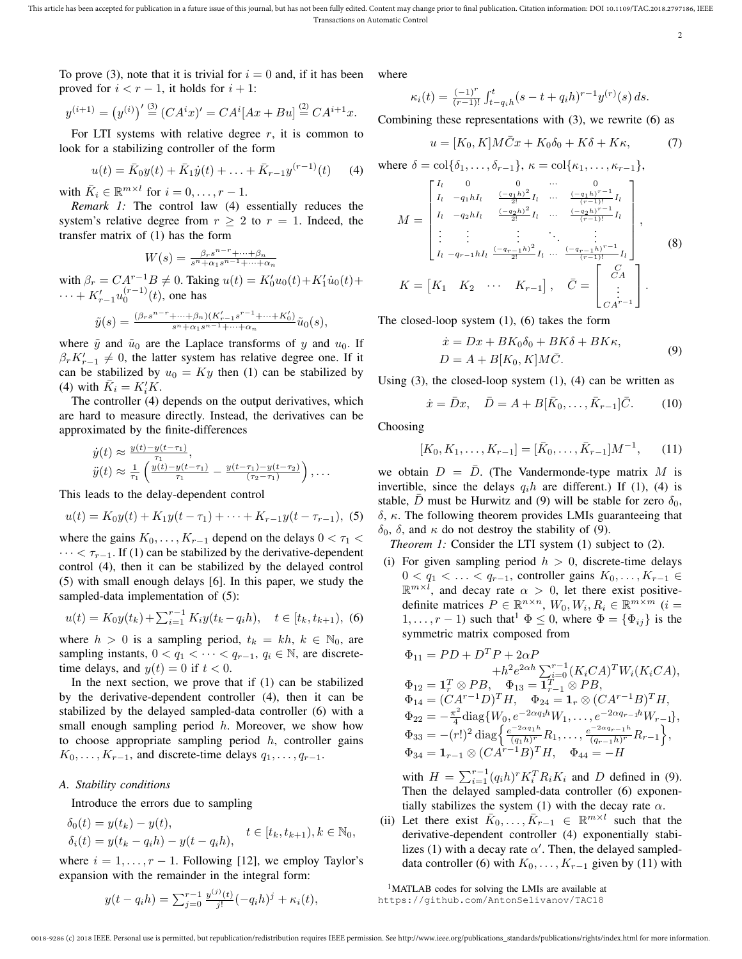This article has been accepted for publication in a future issue of this journal, but has not been fully edited. Content may change prior to final publication. Citation information: DOI 10.1109/TAC.2018.2797186, IEEE Transactions on Automatic Control

2

To prove (3), note that it is trivial for  $i = 0$  and, if it has been proved for  $i < r - 1$ , it holds for  $i + 1$ :

$$
y^{(i+1)} = (y^{(i)})' \stackrel{(3)}{=} (CA^i x)' = CA^i [Ax + Bu] \stackrel{(2)}{=} CA^{i+1}x.
$$

For LTI systems with relative degree  $r$ , it is common to look for a stabilizing controller of the form

$$
u(t) = \bar{K}_0 y(t) + \bar{K}_1 \dot{y}(t) + \ldots + \bar{K}_{r-1} y^{(r-1)}(t) \tag{4}
$$

with  $\bar{K}_i \in \mathbb{R}^{m \times l}$  for  $i = 0, \ldots, r - 1$ .

*Remark 1:* The control law (4) essentially reduces the system's relative degree from  $r \geq 2$  to  $r = 1$ . Indeed, the transfer matrix of (1) has the form

$$
W(s) = \frac{\beta_r s^{n-r} + \dots + \beta_n}{s^n + \alpha_1 s^{n-1} + \dots + \alpha_n}
$$

with  $\beta_r = CA^{r-1}B \neq 0$ . Taking  $u(t) = K'_0 u_0(t) + K'_1 \dot{u}_0(t) +$  $\cdots + K'_{r-1}u_0^{(r-1)}(t)$ , one has

$$
\tilde{y}(s)=\tfrac{(\beta_r s^{n-r}+\cdots+\beta_n)(K'_{r-1}s^{r-1}+\cdots+K'_0)}{s^n+\alpha_1 s^{n-1}+\cdots+\alpha_n}\tilde{u}_0(s),
$$

where  $\tilde{y}$  and  $\tilde{u}_0$  are the Laplace transforms of y and  $u_0$ . If  $\beta_r K'_{r-1} \neq 0$ , the latter system has relative degree one. If it can be stabilized by  $u_0 = Ky$  then (1) can be stabilized by (4) with  $\bar{K}_i = K_i' \bar{K}$ .

The controller (4) depends on the output derivatives, which are hard to measure directly. Instead, the derivatives can be approximated by the finite-differences

$$
\dot{y}(t) \approx \frac{y(t) - y(t-\tau_1)}{\tau_1}, \n\ddot{y}(t) \approx \frac{1}{\tau_1} \left( \frac{y(t) - y(t-\tau_1)}{\tau_1} - \frac{y(t-\tau_1) - y(t-\tau_2)}{(\tau_2 - \tau_1)} \right), \dots
$$

This leads to the delay-dependent control

$$
u(t) = K_0 y(t) + K_1 y(t - \tau_1) + \dots + K_{r-1} y(t - \tau_{r-1}),
$$
 (5)

where the gains  $K_0, \ldots, K_{r-1}$  depend on the delays  $0 < \tau_1 <$  $\cdots < \tau_{r-1}$ . If (1) can be stabilized by the derivative-dependent control (4), then it can be stabilized by the delayed control (5) with small enough delays [6]. In this paper, we study the sampled-data implementation of (5):

$$
u(t) = K_0 y(t_k) + \sum_{i=1}^{r-1} K_i y(t_k - q_i h), \quad t \in [t_k, t_{k+1}),
$$
 (6)

where  $h > 0$  is a sampling period,  $t_k = kh$ ,  $k \in \mathbb{N}_0$ , are sampling instants,  $0 < q_1 < \cdots < q_{r-1}$ ,  $q_i \in \mathbb{N}$ , are discretetime delays, and  $y(t) = 0$  if  $t < 0$ .

In the next section, we prove that if (1) can be stabilized by the derivative-dependent controller (4), then it can be stabilized by the delayed sampled-data controller (6) with a small enough sampling period  $h$ . Moreover, we show how to choose appropriate sampling period  $h$ , controller gains  $K_0, \ldots, K_{r-1}$ , and discrete-time delays  $q_1, \ldots, q_{r-1}$ .

# *A. Stability conditions*

Introduce the errors due to sampling

$$
\begin{aligned} \delta_0(t) &= y(t_k) - y(t), \\ \delta_i(t) &= y(t_k - q_i h) - y(t - q_i h), \quad t \in [t_k, t_{k+1}), k \in \mathbb{N}_0, \end{aligned}
$$

where  $i = 1, \ldots, r - 1$ . Following [12], we employ Taylor's expansion with the remainder in the integral form:

$$
y(t - q_i h) = \sum_{j=0}^{r-1} \frac{y^{(j)}(t)}{j!} (-q_i h)^j + \kappa_i(t),
$$

where

$$
\kappa_i(t) = \frac{(-1)^r}{(r-1)!} \int_{t-q_i h}^t (s-t+q_i h)^{r-1} y^{(r)}(s) ds.
$$

Combining these representations with (3), we rewrite (6) as

$$
u = [K_0, K]M\bar{C}x + K_0\delta_0 + K\delta + K\kappa, \tag{7}
$$

where 
$$
\delta = \text{col}\{\delta_1, \ldots, \delta_{r-1}\}, \kappa = \text{col}\{\kappa_1, \ldots, \kappa_{r-1}\},
$$
  
\n
$$
M = \begin{bmatrix}\nI_l & 0 & 0 & \cdots & 0 \\
I_l & -q_1 h I_l & \frac{(-q_1 h)^2}{2!} I_l & \cdots & \frac{(-q_1 h)^{r-1}}{(r-1)!} I_l \\
I_l & -q_2 h I_l & \frac{(-q_2 h)^2}{2!} I_l & \cdots & \frac{(-q_2 h)^{r-1}}{(r-1)!} I_l \\
\vdots & \vdots & \ddots & \vdots \\
I_l & -q_{r-1} h I_l & \frac{(-q_{r-1} h)^2}{2!} I_l & \cdots & \frac{(-q_{r-1} h)^{r-1}}{(r-1)!} I_l\n\end{bmatrix},
$$
\n
$$
K = \begin{bmatrix}\nK_1 & K_2 & \cdots & K_{r-1}\n\end{bmatrix}, \quad \bar{C} = \begin{bmatrix}\nC_A \\
\vdots \\
C A^{r-1}\n\end{bmatrix}.
$$
\n(8)

The closed-loop system (1), (6) takes the form

$$
\begin{aligned} \n\dot{x} &= Dx + BK_0 \delta_0 + BK \delta + BK \kappa, \\ \nD &= A + B[K_0, K] M \bar{C}. \n\end{aligned} \tag{9}
$$

Using  $(3)$ , the closed-loop system  $(1)$ ,  $(4)$  can be written as

$$
\dot{x} = \bar{D}x, \quad \bar{D} = A + B[\bar{K}_0, \dots, \bar{K}_{r-1}]\bar{C}.
$$
 (10)

Choosing

$$
[K_0, K_1, \dots, K_{r-1}] = [\bar{K}_0, \dots, \bar{K}_{r-1}]M^{-1}, \qquad (11)
$$

we obtain  $D = \overline{D}$ . (The Vandermonde-type matrix M is invertible, since the delays  $q_i h$  are different.) If (1), (4) is stable, D must be Hurwitz and (9) will be stable for zero  $\delta_0$ ,  $\delta$ ,  $\kappa$ . The following theorem provides LMIs guaranteeing that  $\delta_0$ , δ, and κ do not destroy the stability of (9).

*Theorem 1:* Consider the LTI system (1) subject to (2).

(i) For given sampling period  $h > 0$ , discrete-time delays  $0 < q_1 < \ldots < q_{r-1}$ , controller gains  $K_0, \ldots, K_{r-1} \in$  $\mathbb{R}^{m \times l}$ , and decay rate  $\alpha > 0$ , let there exist positivedefinite matrices  $P \in \mathbb{R}^{n \times n}$ ,  $W_0, W_i, R_i \in \mathbb{R}^{m \times m}$  (*i* =  $1, \ldots, r - 1$ ) such that<sup>1</sup>  $\Phi \leq 0$ , where  $\Phi = {\Phi_{ij}}$  is the symmetric matrix composed from

$$
\Phi_{11} = PD + D^T P + 2\alpha P \n+ h^2 e^{2\alpha h} \sum_{i=0}^{r-1} (K_i C A)^T W_i (K_i C A), \n\Phi_{12} = \mathbf{1}_r^T \otimes PB, \quad \Phi_{13} = \mathbf{1}_{r-1}^T \otimes PB, \n\Phi_{14} = (C A^{r-1} D)^T H, \quad \Phi_{24} = \mathbf{1}_r \otimes (C A^{r-1} B)^T H, \n\Phi_{22} = -\frac{\pi^2}{4} \text{diag}\{W_0, e^{-2\alpha q_1 h} W_1, \dots, e^{-2\alpha q_{r-1} h} W_{r-1}\}, \n\Phi_{33} = -(r!)^2 \text{ diag}\left\{\frac{e^{-2\alpha q_1 h}}{(q_1 h)^r} R_1, \dots, \frac{e^{-2\alpha q_{r-1} h}}{(q_{r-1} h)^r} R_{r-1}\right\}, \n\Phi_{34} = \mathbf{1}_{r-1} \otimes (C A^{r-1} B)^T H, \quad \Phi_{44} = -H
$$

with  $H = \sum_{i=1}^{r-1} (q_i h)^r K_i^T R_i K_i$  and D defined in (9). Then the delayed sampled-data controller (6) exponentially stabilizes the system (1) with the decay rate  $\alpha$ .

(ii) Let there exist  $\bar{K}_0, \ldots, \bar{K}_{r-1} \in \mathbb{R}^{m \times l}$  such that the derivative-dependent controller (4) exponentially stabilizes (1) with a decay rate  $\alpha'$ . Then, the delayed sampleddata controller (6) with  $K_0, \ldots, K_{r-1}$  given by (11) with

<sup>1</sup>MATLAB codes for solving the LMIs are available at https://github.com/AntonSelivanov/TAC18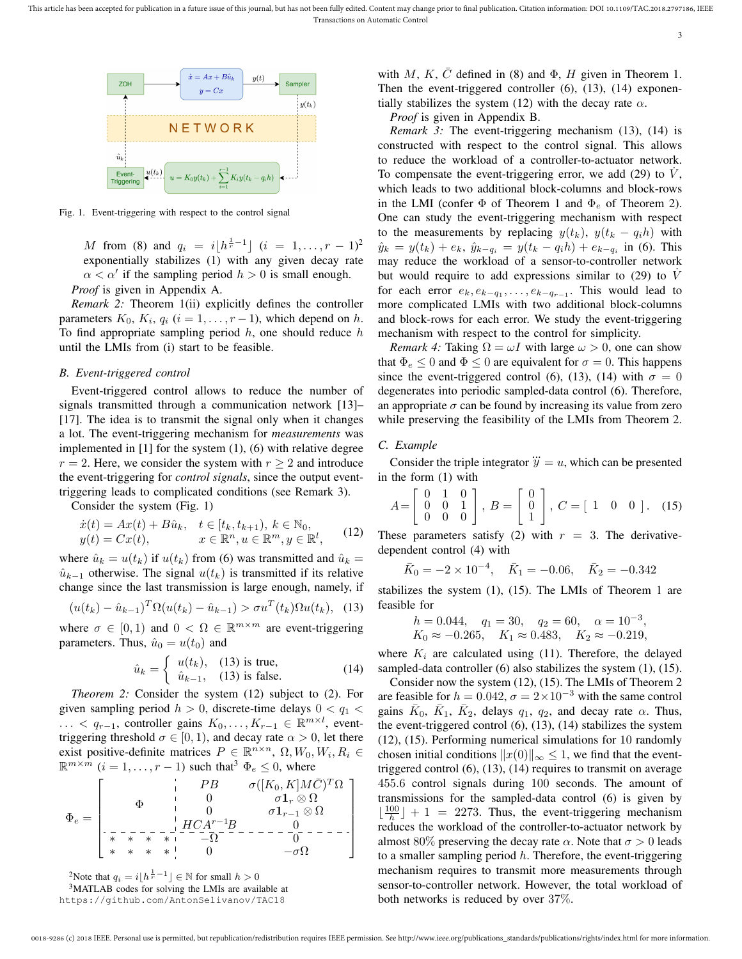

Fig. 1. Event-triggering with respect to the control signal

M from (8) and  $q_i = i\left[h^{\frac{1}{r}-1}\right]$   $(i = 1, ..., r-1)^2$ exponentially stabilizes (1) with any given decay rate  $\alpha < \alpha'$  if the sampling period  $h > 0$  is small enough. *Proof* is given in Appendix A.

*Remark 2:* Theorem 1(ii) explicitly defines the controller parameters  $K_0$ ,  $K_i$ ,  $q_i$  ( $i = 1, \ldots, r - 1$ ), which depend on h. To find appropriate sampling period  $h$ , one should reduce  $h$ until the LMIs from (i) start to be feasible.

#### *B. Event-triggered control*

Event-triggered control allows to reduce the number of signals transmitted through a communication network [13]– [17]. The idea is to transmit the signal only when it changes a lot. The event-triggering mechanism for *measurements* was implemented in [1] for the system (1), (6) with relative degree  $r = 2$ . Here, we consider the system with  $r > 2$  and introduce the event-triggering for *control signals*, since the output eventtriggering leads to complicated conditions (see Remark 3).

Consider the system (Fig. 1)

$$
\begin{array}{ll}\n\dot{x}(t) = Ax(t) + B\hat{u}_k, & t \in [t_k, t_{k+1}), \ k \in \mathbb{N}_0, \\
y(t) = Cx(t), & x \in \mathbb{R}^n, u \in \mathbb{R}^m, y \in \mathbb{R}^l,\n\end{array} (12)
$$

where  $\hat{u}_k = u(t_k)$  if  $u(t_k)$  from (6) was transmitted and  $\hat{u}_k =$  $\hat{u}_{k-1}$  otherwise. The signal  $u(t_k)$  is transmitted if its relative change since the last transmission is large enough, namely, if

$$
(u(t_k) - \hat{u}_{k-1})^T \Omega (u(t_k) - \hat{u}_{k-1}) > \sigma u^T(t_k) \Omega u(t_k), \quad (13)
$$

where  $\sigma \in [0, 1)$  and  $0 < \Omega \in \mathbb{R}^{m \times m}$  are event-triggering parameters. Thus,  $\hat{u}_0 = u(t_0)$  and

$$
\hat{u}_k = \begin{cases}\n u(t_k), & (13) \text{ is true,} \\
 \hat{u}_{k-1}, & (13) \text{ is false.} \n\end{cases}
$$
\n(14)

*Theorem 2:* Consider the system (12) subject to (2). For given sampling period  $h > 0$ , discrete-time delays  $0 < q_1 <$ ... <  $q_{r-1}$ , controller gains  $K_0, \ldots, K_{r-1}$  ∈  $\mathbb{R}^{m \times l}$ , eventtriggering threshold  $\sigma \in [0, 1)$ , and decay rate  $\alpha > 0$ , let there exist positive-definite matrices  $P \in \mathbb{R}^{n \times n}$ ,  $\Omega$ ,  $W_0$ ,  $W_i$ ,  $R_i \in$  $\mathbb{R}^{m \times m}$   $(i = 1, \ldots, r - 1)$  such that<sup>3</sup>  $\Phi_e \leq 0$ , where

$$
\Phi_e = \left[\begin{matrix} \Phi & \mathbf{P}B & \sigma([K_0,K]M\bar{C})^T\Omega \\ \Phi & \mathbf{0} & \sigma\mathbf{1}_r\otimes\Omega \\ \mathbf{0} & \mathbf{0} & \sigma\mathbf{1}_{r-1}\otimes\Omega \\ \hline \mathbf{0} & \mathbf{0} & \mathbf{0} & \sigma\mathbf{1}_{r-1}\otimes\Omega \\ \hline \mathbf{0} & \mathbf{0} & \mathbf{0} & \mathbf{0} & \mathbf{0} \\ \hline \mathbf{0} & \mathbf{0} & \mathbf{0} & \mathbf{0} & \mathbf{0} & \mathbf{0} \\ \mathbf{0} & \mathbf{0} & \mathbf{0} & \mathbf{0} & \mathbf{0} & \mathbf{0} \end{matrix}\right]
$$

<sup>2</sup>Note that  $q_i = i\left\lfloor h^{\frac{1}{r}-1} \right\rfloor \in \mathbb{N}$  for small  $h > 0$ 

<sup>3</sup>MATLAB codes for solving the LMIs are available at https://github.com/AntonSelivanov/TAC18

with M, K,  $\overline{C}$  defined in (8) and  $\Phi$ , H given in Theorem 1. Then the event-triggered controller (6), (13), (14) exponentially stabilizes the system (12) with the decay rate  $\alpha$ .

3

*Proof* is given in Appendix B.

*Remark 3:* The event-triggering mechanism (13), (14) is constructed with respect to the control signal. This allows to reduce the workload of a controller-to-actuator network. To compensate the event-triggering error, we add (29) to  $\dot{V}$ , which leads to two additional block-columns and block-rows in the LMI (confer  $\Phi$  of Theorem 1 and  $\Phi_e$  of Theorem 2). One can study the event-triggering mechanism with respect to the measurements by replacing  $y(t_k)$ ,  $y(t_k - q_i h)$  with  $\hat{y}_k = y(t_k) + e_k$ ,  $\hat{y}_{k-q_i} = y(t_k - q_i h) + e_{k-q_i}$  in (6). This may reduce the workload of a sensor-to-controller network but would require to add expressions similar to  $(29)$  to V for each error  $e_k, e_{k-q_1}, \ldots, e_{k-q_{r-1}}$ . This would lead to more complicated LMIs with two additional block-columns and block-rows for each error. We study the event-triggering mechanism with respect to the control for simplicity.

*Remark 4:* Taking  $\Omega = \omega I$  with large  $\omega > 0$ , one can show that  $\Phi_e \leq 0$  and  $\Phi \leq 0$  are equivalent for  $\sigma = 0$ . This happens since the event-triggered control (6), (13), (14) with  $\sigma = 0$ degenerates into periodic sampled-data control (6). Therefore, an appropriate  $\sigma$  can be found by increasing its value from zero while preserving the feasibility of the LMIs from Theorem 2.

# *C. Example*

Consider the triple integrator  $\dddot{y} = u$ , which can be presented in the form (1) with

$$
A = \begin{bmatrix} 0 & 1 & 0 \\ 0 & 0 & 1 \\ 0 & 0 & 0 \end{bmatrix}, B = \begin{bmatrix} 0 \\ 0 \\ 1 \end{bmatrix}, C = \begin{bmatrix} 1 & 0 & 0 \end{bmatrix}. (15)
$$

These parameters satisfy (2) with  $r = 3$ . The derivativedependent control (4) with

$$
\bar{K}_0 = -2 \times 10^{-4}, \quad \bar{K}_1 = -0.06, \quad \bar{K}_2 = -0.342
$$

stabilizes the system (1), (15). The LMIs of Theorem 1 are feasible for

$$
h = 0.044
$$
,  $q_1 = 30$ ,  $q_2 = 60$ ,  $\alpha = 10^{-3}$ ,  
\n $K_0 \approx -0.265$ ,  $K_1 \approx 0.483$ ,  $K_2 \approx -0.219$ ,

where  $K_i$  are calculated using (11). Therefore, the delayed sampled-data controller (6) also stabilizes the system (1), (15).

Consider now the system (12), (15). The LMIs of Theorem 2 are feasible for  $h = 0.042$ ,  $\sigma = 2 \times 10^{-3}$  with the same control gains  $\bar{K}_0$ ,  $\bar{K}_1$ ,  $\bar{K}_2$ , delays  $q_1$ ,  $q_2$ , and decay rate  $\alpha$ . Thus, the event-triggered control (6), (13), (14) stabilizes the system (12), (15). Performing numerical simulations for 10 randomly chosen initial conditions  $||x(0)||_{\infty} \leq 1$ , we find that the eventtriggered control (6), (13), (14) requires to transmit on average 455.6 control signals during 100 seconds. The amount of transmissions for the sampled-data control (6) is given by  $\lfloor \frac{100}{h} \rfloor + 1 = 2273$ . Thus, the event-triggering mechanism reduces the workload of the controller-to-actuator network by almost 80% preserving the decay rate  $\alpha$ . Note that  $\sigma > 0$  leads to a smaller sampling period  $h$ . Therefore, the event-triggering mechanism requires to transmit more measurements through sensor-to-controller network. However, the total workload of both networks is reduced by over 37%.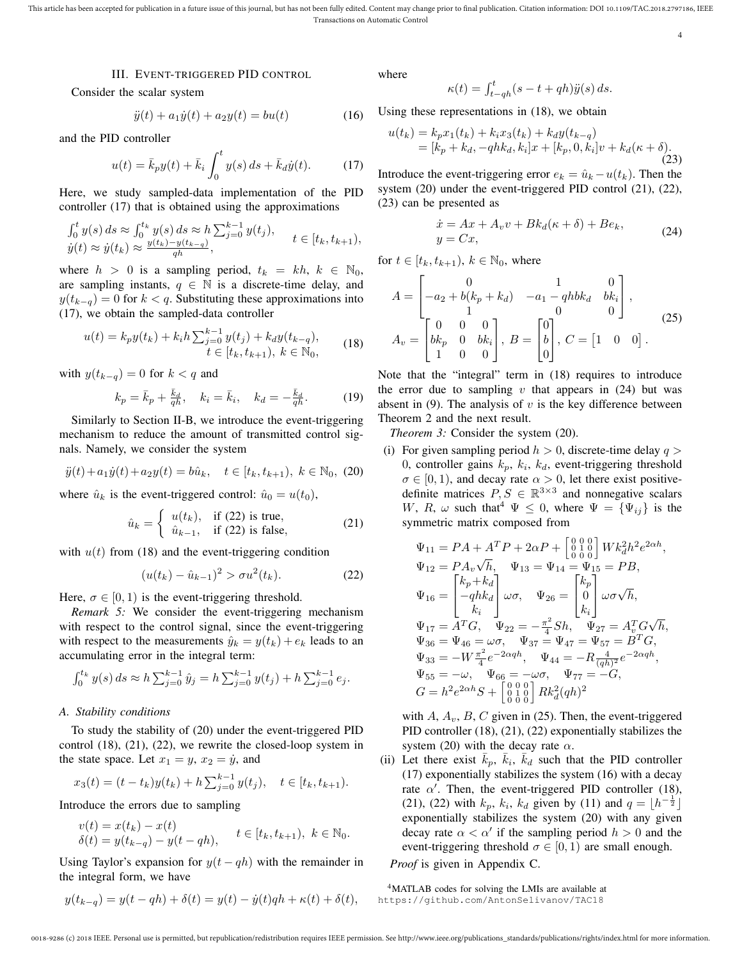## III. EVENT-TRIGGERED PID CONTROL

Consider the scalar system

$$
\ddot{y}(t) + a_1 \dot{y}(t) + a_2 y(t) = bu(t)
$$
\n(16)

and the PID controller

$$
u(t) = \bar{k}_p y(t) + \bar{k}_i \int_0^t y(s) \, ds + \bar{k}_d \dot{y}(t). \tag{17}
$$

Here, we study sampled-data implementation of the PID controller (17) that is obtained using the approximations

$$
\begin{aligned} &\int_0^t y(s) \, ds \approx \int_0^{t_k} y(s) \, ds \approx h \sum_{j=0}^{k-1} y(t_j), \\ &\dot{y}(t) \approx \dot{y}(t_k) \approx \frac{y(t_k) - y(t_{k-q})}{q h}, \end{aligned} \quad t \in [t_k, t_{k+1}),
$$

where  $h > 0$  is a sampling period,  $t_k = kh, k \in \mathbb{N}_0$ , are sampling instants,  $q \in \mathbb{N}$  is a discrete-time delay, and  $y(t_{k-q}) = 0$  for  $k < q$ . Substituting these approximations into (17), we obtain the sampled-data controller

$$
u(t) = k_p y(t_k) + k_i h \sum_{j=0}^{k-1} y(t_j) + k_d y(t_{k-q}),
$$
  
\n
$$
t \in [t_k, t_{k+1}), k \in \mathbb{N}_0,
$$
\n(18)

with  $y(t_{k-q}) = 0$  for  $k < q$  and

$$
k_p = \bar{k}_p + \frac{\bar{k}_d}{q_h}, \quad k_i = \bar{k}_i, \quad k_d = -\frac{\bar{k}_d}{q_h}.
$$
 (19)

Similarly to Section II-B, we introduce the event-triggering mechanism to reduce the amount of transmitted control signals. Namely, we consider the system

$$
\ddot{y}(t) + a_1 \dot{y}(t) + a_2 y(t) = b\hat{u}_k, \quad t \in [t_k, t_{k+1}), \ k \in \mathbb{N}_0, \ (20)
$$

where  $\hat{u}_k$  is the event-triggered control:  $\hat{u}_0 = u(t_0)$ ,

$$
\hat{u}_k = \begin{cases}\n u(t_k), & \text{if (22) is true,} \\
 \hat{u}_{k-1}, & \text{if (22) is false,}\n\end{cases}
$$
\n(21)

with  $u(t)$  from (18) and the event-triggering condition

$$
(u(t_k) - \hat{u}_{k-1})^2 > \sigma u^2(t_k). \tag{22}
$$

Here,  $\sigma \in [0, 1)$  is the event-triggering threshold.

*Remark 5:* We consider the event-triggering mechanism with respect to the control signal, since the event-triggering with respect to the measurements  $\hat{y}_k = y(t_k) + e_k$  leads to an accumulating error in the integral term:

$$
\int_0^{t_k} y(s) \, ds \approx h \sum_{j=0}^{k-1} \hat{y}_j = h \sum_{j=0}^{k-1} y(t_j) + h \sum_{j=0}^{k-1} e_j.
$$

#### *A. Stability conditions*

To study the stability of (20) under the event-triggered PID control (18), (21), (22), we rewrite the closed-loop system in the state space. Let  $x_1 = y$ ,  $x_2 = \dot{y}$ , and

$$
x_3(t) = (t - t_k)y(t_k) + h\sum_{j=0}^{k-1} y(t_j), \quad t \in [t_k, t_{k+1}).
$$

Introduce the errors due to sampling

$$
v(t) = x(t_k) - x(t) \n\delta(t) = y(t_{k-q}) - y(t - qh), \quad t \in [t_k, t_{k+1}), \ k \in \mathbb{N}_0.
$$

Using Taylor's expansion for  $y(t - qh)$  with the remainder in the integral form, we have

$$
y(t_{k-q}) = y(t - qh) + \delta(t) = y(t) - \dot{y}(t)qh + \kappa(t) + \delta(t),
$$

where

$$
\kappa(t) = \int_{t-qh}^t (s - t + qh)\ddot{y}(s) \, ds.
$$

Using these representations in (18), we obtain

$$
u(t_k) = k_p x_1(t_k) + k_i x_3(t_k) + k_d y(t_{k-q})
$$
  
=  $[k_p + k_d, -q h k_d, k_i]x + [k_p, 0, k_i]v + k_d(\kappa + \delta).$  (23)

Introduce the event-triggering error  $e_k = \hat{u}_k - u(t_k)$ . Then the system (20) under the event-triggered PID control (21), (22), (23) can be presented as

$$
\begin{aligned} \dot{x} &= Ax + A_v v + B k_d (\kappa + \delta) + B e_k, \\ y &= C x, \end{aligned} \tag{24}
$$

4

for  $t \in [t_k, t_{k+1}), k \in \mathbb{N}_0$ , where

$$
A = \begin{bmatrix} 0 & 1 & 0 \\ -a_2 + b(k_p + k_d) & -a_1 - qh b k_d & b k_i \\ 1 & 0 & 0 \\ b k_p & 0 & b k_i \\ 1 & 0 & 0 \end{bmatrix}, B = \begin{bmatrix} 0 \\ b \\ b \\ 0 \end{bmatrix}, C = \begin{bmatrix} 1 & 0 & 0 \end{bmatrix}.
$$
 (25)

Note that the "integral" term in (18) requires to introduce the error due to sampling v that appears in  $(24)$  but was absent in (9). The analysis of  $v$  is the key difference between Theorem 2 and the next result.

*Theorem 3:* Consider the system (20).

(i) For given sampling period  $h > 0$ , discrete-time delay  $q >$ 0, controller gains  $k_p$ ,  $k_i$ ,  $k_d$ , event-triggering threshold  $\sigma \in [0, 1)$ , and decay rate  $\alpha > 0$ , let there exist positivedefinite matrices  $P, S \in \mathbb{R}^{3 \times 3}$  and nonnegative scalars W, R,  $\omega$  such that  $\Psi \leq 0$ , where  $\Psi = {\Psi_{ij}}$  is the symmetric matrix composed from

$$
\begin{array}{l} \Psi_{11}=PA+A^TP+2\alpha P+\left[\begin{smallmatrix} 0&0&0\\ 0&1&0\\ 0&0&0 \end{smallmatrix}\right]Wk_d^2h^2e^{2\alpha h},\\ \Psi_{12}=PA_v\sqrt{h},\quad \Psi_{13}=\Psi_{14}=\Psi_{15}=PB,\\ \Psi_{16}=\left[\begin{smallmatrix} k_p+k_d\\ -qhk_d \end{smallmatrix}\right]\omega\sigma,\quad \Psi_{26}=\left[\begin{smallmatrix} k_p\\ 0\\ 0\\ k_i \end{smallmatrix}\right]\omega\sigma\sqrt{h},\\ \Psi_{17}=A^TG,\quad \Psi_{22}=-\frac{\pi^2}{4}Sh,\quad \Psi_{27}=A_v^TG\sqrt{h},\\ \Psi_{36}=\Psi_{46}=\omega\sigma,\quad \Psi_{37}=\Psi_{47}=\Psi_{57}=B^TG,\\ \Psi_{33}=-W\frac{\pi^2}{4}e^{-2\alpha qh},\quad \Psi_{44}=-R\frac{4}{(qh)^2}e^{-2\alpha qh},\\ \Psi_{55}=-\omega,\quad \Psi_{66}=-\omega\sigma,\quad \Psi_{77}=-G,\\ G=h^2e^{2\alpha h}S+\left[\begin{smallmatrix} 0&0&0\\ 0&1&0\\ 0&0&0 \end{smallmatrix}\right]Rk_d^2(qh)^2 \end{array}
$$

with A,  $A_v$ , B, C given in (25). Then, the event-triggered PID controller (18), (21), (22) exponentially stabilizes the system (20) with the decay rate  $\alpha$ .

(ii) Let there exist  $\bar{k}_p$ ,  $\bar{k}_i$ ,  $\bar{k}_d$  such that the PID controller (17) exponentially stabilizes the system (16) with a decay rate  $\alpha'$ . Then, the event-triggered PID controller (18), (21), (22) with  $k_p$ ,  $k_i$ ,  $k_d$  given by (11) and  $q = \lfloor h^{-\frac{1}{2}} \rfloor$ exponentially stabilizes the system (20) with any given decay rate  $\alpha < \alpha'$  if the sampling period  $h > 0$  and the event-triggering threshold  $\sigma \in [0, 1)$  are small enough.

*Proof* is given in Appendix C.

<sup>4</sup>MATLAB codes for solving the LMIs are available at https://github.com/AntonSelivanov/TAC18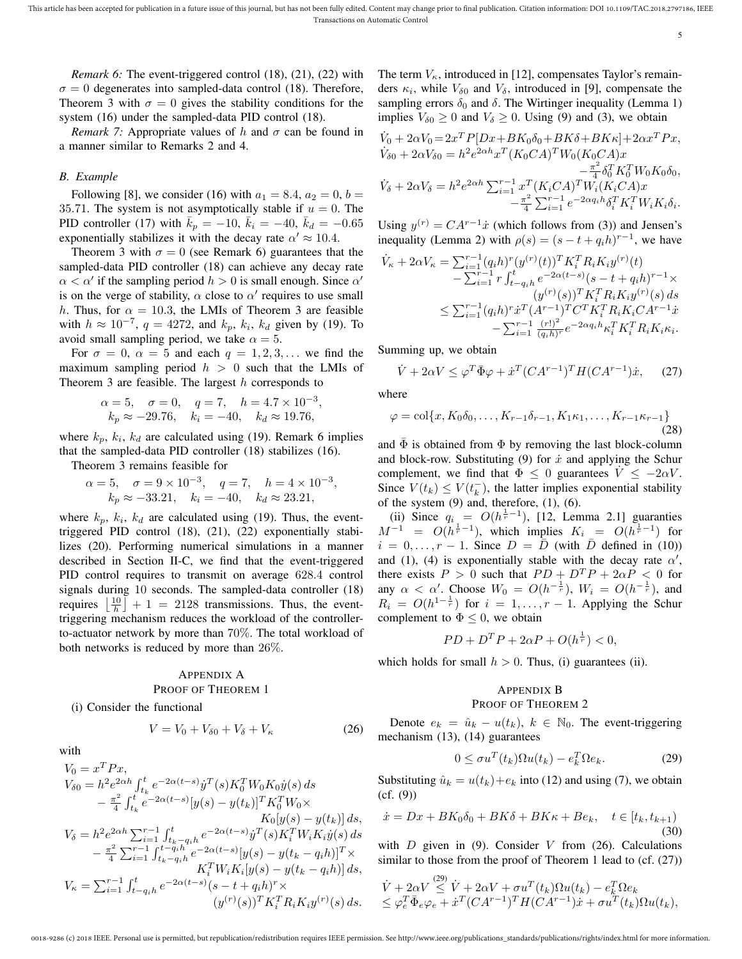5

*Remark 6:* The event-triggered control (18), (21), (22) with  $\sigma = 0$  degenerates into sampled-data control (18). Therefore, Theorem 3 with  $\sigma = 0$  gives the stability conditions for the system (16) under the sampled-data PID control (18).

*Remark 7:* Appropriate values of h and  $\sigma$  can be found in a manner similar to Remarks 2 and 4.

### *B. Example*

Following [8], we consider (16) with  $a_1 = 8.4, a_2 = 0, b = 0$ 35.71. The system is not asymptotically stable if  $u = 0$ . The PID controller (17) with  $\bar{k}_p = -10$ ,  $\bar{k}_i = -40$ ,  $\bar{k}_d = -0.65$ exponentially stabilizes it with the decay rate  $\alpha' \approx 10.4$ .

Theorem 3 with  $\sigma = 0$  (see Remark 6) guarantees that the sampled-data PID controller (18) can achieve any decay rate  $\alpha < \alpha'$  if the sampling period  $h > 0$  is small enough. Since  $\alpha'$ is on the verge of stability,  $\alpha$  close to  $\alpha'$  requires to use small h. Thus, for  $\alpha = 10.3$ , the LMIs of Theorem 3 are feasible with  $h \approx 10^{-7}$ ,  $q = 4272$ , and  $k_p$ ,  $k_i$ ,  $k_d$  given by (19). To avoid small sampling period, we take  $\alpha = 5$ .

For  $\sigma = 0$ ,  $\alpha = 5$  and each  $q = 1, 2, 3, \dots$  we find the maximum sampling period  $h > 0$  such that the LMIs of Theorem 3 are feasible. The largest  $h$  corresponds to

$$
\alpha = 5, \quad \sigma = 0, \quad q = 7, \quad h = 4.7 \times 10^{-3}
$$
  
\n $k_p \approx -29.76, \quad k_i = -40, \quad k_d \approx 19.76,$ 

where  $k_p$ ,  $k_i$ ,  $k_d$  are calculated using (19). Remark 6 implies that the sampled-data PID controller (18) stabilizes (16).

Theorem 3 remains feasible for

$$
\alpha = 5, \quad \sigma = 9 \times 10^{-3}, \quad q = 7, \quad h = 4 \times 10^{-3},
$$
  
\n $k_p \approx -33.21, \quad k_i = -40, \quad k_d \approx 23.21,$ 

where  $k_p$ ,  $k_i$ ,  $k_d$  are calculated using (19). Thus, the eventtriggered PID control (18), (21), (22) exponentially stabilizes (20). Performing numerical simulations in a manner described in Section II-C, we find that the event-triggered PID control requires to transmit on average 628.4 control signals during 10 seconds. The sampled-data controller (18) requires  $\left\lfloor \frac{10}{h} \right\rfloor + 1 = 2128$  transmissions. Thus, the eventtriggering mechanism reduces the workload of the controllerto-actuator network by more than 70%. The total workload of both networks is reduced by more than 26%.

#### APPENDIX A

#### PROOF OF THEOREM 1

(i) Consider the functional

$$
V = V_0 + V_{\delta 0} + V_{\delta} + V_{\kappa} \tag{26}
$$

with

$$
\begin{aligned} V_0 &= x^T P x, \\ V_{\delta 0} &= h^2 e^{2 \alpha h} \int_{t_k}^t e^{-2 \alpha (t-s)} \dot{y}^T(s) K_0^T W_0 K_0 \dot{y}(s) \, ds \\ &\quad - \frac{\pi^2}{4} \int_{t_k}^t e^{-2 \alpha (t-s)} [y(s) - y(t_k)]^T K_0^T W_0 \times \\ &\quad K_0 [y(s) - y(t_k)] \, ds, \\ V_{\delta} &= h^2 e^{2 \alpha h} \sum_{i=1}^{r-1} \int_{t_k - q_i h}^t e^{-2 \alpha (t-s)} \dot{y}^T(s) K_i^T W_i K_i \dot{y}(s) \, ds \\ &\quad - \frac{\pi^2}{4} \sum_{i=1}^{r-1} \int_{t_k - q_i h}^t e^{-2 \alpha (t-s)} [y(s) - y(t_k - q_i h)]^T \times \\ &\quad K_i^T W_i K_i [y(s) - y(t_k - q_i h)] \, ds, \\ V_{\kappa} &= \sum_{i=1}^{r-1} \int_{t-q_i h}^t e^{-2 \alpha (t-s)} (s-t+q_i h)^r \times \\ &\quad (y^{(r)}(s))^T K_i^T R_i K_i y^{(r)}(s) \, ds. \end{aligned}
$$

The term  $V_{\kappa}$ , introduced in [12], compensates Taylor's remainders  $\kappa_i$ , while  $V_{\delta 0}$  and  $V_{\delta}$ , introduced in [9], compensate the sampling errors  $\delta_0$  and  $\delta$ . The Wirtinger inequality (Lemma 1) implies  $V_{\delta 0} \ge 0$  and  $V_{\delta} \ge 0$ . Using (9) and (3), we obtain

$$
\dot{V}_0 + 2\alpha V_0 = 2x^T P[Dx + BK_0 \delta_0 + BK_0 + BK_0 + 2\alpha x^T P x,
$$
  
\n
$$
\dot{V}_{\delta 0} + 2\alpha V_{\delta 0} = h^2 e^{2\alpha h} x^T (K_0 C A)^T W_0 (K_0 C A) x
$$
  
\n
$$
- \frac{\pi^2}{4} \delta_0^T K_0^T W_0 K_0 \delta_0,
$$
  
\n
$$
\dot{V}_{\delta} + 2\alpha V_{\delta} = h^2 e^{2\alpha h} \sum_{i=1}^{r-1} x^T (K_i C A)^T W_i (K_i C A) x
$$
  
\n
$$
- \frac{\pi^2}{4} \sum_{i=1}^{r-1} e^{-2\alpha q_i h} \delta_i^T K_i^T W_i K_i \delta_i.
$$

Using  $y^{(r)} = CA^{r-1}\dot{x}$  (which follows from (3)) and Jensen's inequality (Lemma 2) with  $\rho(s) = (s - t + q_i h)^{r-1}$ , we have

$$
\begin{split} \dot{V}_{\kappa} + 2\alpha V_{\kappa} &= \sum_{i=1}^{r-1} (q_i h)^r (y^{(r)}(t))^T K_i^T R_i K_i y^{(r)}(t) \\ &- \sum_{i=1}^{r-1} r \int_{t-q_i h}^t e^{-2\alpha(t-s)} (s-t+q_i h)^{r-1} \times \\ &(y^{(r)}(s))^T K_i^T R_i K_i y^{(r)}(s) \, ds \\ &\le \sum_{i=1}^{r-1} (q_i h)^r \dot{x}^T (A^{r-1})^T C^T K_i^T R_i K_i C A^{r-1} \dot{x} \\ &- \sum_{i=1}^{r-1} \frac{(r!)^2}{(q_i h)^r} e^{-2\alpha q_i h} \kappa_i^T K_i^T R_i K_i \kappa_i. \end{split}
$$

Summing up, we obtain

$$
\dot{V} + 2\alpha V \le \varphi^T \bar{\Phi}\varphi + \dot{x}^T (CA^{r-1})^T H (CA^{r-1})\dot{x}, \quad (27)
$$

where

,

$$
\varphi = \text{col}\{x, K_0\delta_0, \dots, K_{r-1}\delta_{r-1}, K_1\kappa_1, \dots, K_{r-1}\kappa_{r-1}\}\
$$
\n(28)

and  $\overline{\Phi}$  is obtained from  $\Phi$  by removing the last block-column and block-row. Substituting (9) for  $\dot{x}$  and applying the Schur complement, we find that  $\Phi \leq 0$  guarantees  $V \leq -2\alpha V$ . Since  $V(t_k) \leq V(t_k^-)$ , the latter implies exponential stability of the system  $(9)$  and, therefore,  $(1)$ ,  $(6)$ .

(ii) Since  $q_i = O(h^{\frac{1}{r}-1})$ , [12, Lemma 2.1] guaranties  $M^{-1}$  =  $O(h^{\frac{1}{r}-1})$ , which implies  $K_i$  =  $O(h^{\frac{1}{r}-1})$  for  $i = 0, \ldots, r - 1$ . Since  $D = \overline{D}$  (with  $\overline{D}$  defined in (10)) and (1), (4) is exponentially stable with the decay rate  $\alpha'$ , there exists  $P > 0$  such that  $PD + D^T P + 2\alpha P < 0$  for any  $\alpha < \alpha'$ . Choose  $W_0 = O(h^{-\frac{1}{r}}), W_i = O(h^{-\frac{1}{r}})$ , and  $R_i = O(h^{1-\frac{1}{r}})$  for  $i = 1, ..., r-1$ . Applying the Schur complement to  $\Phi \leq 0$ , we obtain

$$
PD + D^T P + 2\alpha P + O(h^{\frac{1}{r}}) < 0,
$$

which holds for small  $h > 0$ . Thus, (i) guarantees (ii).

# APPENDIX B PROOF OF THEOREM 2

Denote  $e_k = \hat{u}_k - u(t_k)$ ,  $k \in \mathbb{N}_0$ . The event-triggering mechanism (13), (14) guarantees

$$
0 \le \sigma u^T(t_k) \Omega u(t_k) - e_k^T \Omega e_k. \tag{29}
$$

Substituting  $\hat{u}_k = u(t_k) + e_k$  into (12) and using (7), we obtain (cf. (9))

$$
\dot{x} = Dx + BK_0 \delta_0 + BK \delta + BK \kappa + Be_k, \quad t \in [t_k, t_{k+1})
$$
\n(30)

with  $D$  given in (9). Consider  $V$  from (26). Calculations similar to those from the proof of Theorem 1 lead to (cf.  $(27)$ )

$$
\dot{V} + 2\alpha V \stackrel{(29)}{\leq} \dot{V} + 2\alpha V + \sigma u^T(t_k)\Omega u(t_k) - e_k^T \Omega e_k \n\leq \varphi_e^T \bar{\Phi}_e \varphi_e + \dot{x}^T (C A^{r-1})^T H (C A^{r-1}) \dot{x} + \sigma u^T(t_k)\Omega u(t_k),
$$